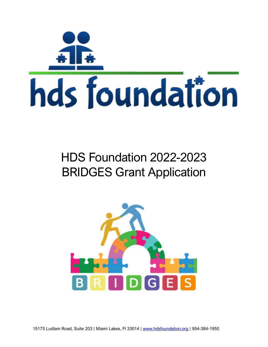

# HDS Foundation 2022-2023 BRIDGES Grant Application

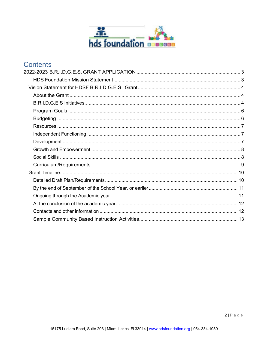

# **Contents**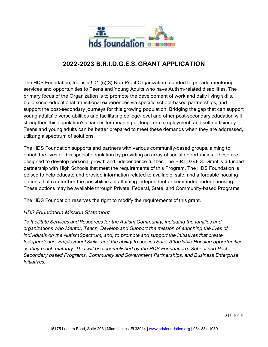

# **2022-2023 B.R.I.D.G.E.S. GRANT APPLICATION**

The HDS Foundation, Inc. is a 501 (c)(3) Non-Profit Organization founded to provide mentoring services and opportunities to Teens and Young Adults who have Autism-related disabilities. The primary focus of the Organization is to promote the development of work and daily living skills, build socio-educational transitional experiences via specific school-based partnerships, and support the post-secondary journeys for this growing population. Bridging the gap that can support young adults' diverse abilities and facilitating college-level and other post-secondary education will strengthen this population's chances for meaningful, long-term employment, and self-sufficiency. Teens and young adults can be better prepared to meet these demands when they are addressed, utilizing a spectrum of solutions.

The HDS Foundation supports and partners with various community-based groups, aiming to enrich the lives of this special population by providing an array of social opportunities. These are designed to develop personal growth and independence further. The B.R.I.D.G.E S. Grant is a funded partnership with High Schools that meet the requirements of this Program. The HDS Foundation is poised to help educate and provide information related to available, safe, and affordable housing options that can further the possibilities of attaining independent or semi-independent housing. These options may be available through Private, Federal, State, and Community-based Programs.

The HDS Foundation reserves the right to modify the requirements of this grant.

#### *HDS Foundation Mission Statement*

*To facilitate Services and Resources for the Autism Community, including the families and organizations who Mentor, Teach, Develop and Support the mission of enriching the lives of individuals on the AutismSpectrum, and, to promote and support the initiatives that create Independence, Employment Skills, and the ability to* access *Safe, Affordable Housing opportunities*  as *they reach maturity. This will be accomplished by the HDS Foundation's School and Post-Secondary based Programs, Community and Government Partnerships, and Business Enterprise Initiatives.*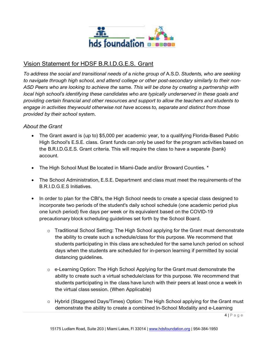

# Vision Statement for HDSF B.R.I.D.G.E.S. Grant

*To address the social and transitional needs of* a *niche group of* A.S.D. *Students, who are seeking to navigate through high school, and attend college or other post-secondary similarly to their non-ASD Peers who are looking to achieve the* same. *This will be done by creating* a *partnership with local high school's identifying these candidates who are typically underserved in these goals and providing certain financial and other resources and support to allow the teachers and students to engage in activities theywould otherwise not have* access *to, separate and distinct from those provided by their school* system.

#### *About the Grant*

- The Grant award is (up to) \$5,000 per academic year, to a qualifying Florida-Based Public High School's E.S.E. class. Grant funds can only be used for the program activities based on the B.R.I.D.G.E.S. Grant criteria. This will require the class to have a separate {bank} account.
- The High School Must Be located in Miami-Dade and/or Broward Counties. \*
- The School Administration, E.S.E. Department and class must meet the requirements of the B.R.I.D.G.E.S Initiatives.
- In order to plan for the CBI's, the High School needs to create a special class designed to incorporate two periods of the student's daily school schedule (one academic period plus one lunch period) five days per week or its equivalent based on the COVID-19 precautionary block scheduling guidelines set forth by the School Board.
	- $\circ$  Traditional School Setting: The High School applying for the Grant must demonstrate the ability to create such a schedule/class for this purpose. We recommend that students participating in this class are scheduled for the same lunch period on school days when the students are scheduled for in-person learning if permitted by social distancing guidelines.
	- $\circ$  e-Learning Option: The High School Applying for the Grant must demonstrate the ability to create such a virtual schedule/class for this purpose. We recommend that students participating in the class have lunch with their peers at least once a week in the virtual class session. (When Applicable)
	- o Hybrid (Staggered Days/Times) Option: The High School applying for the Grant must demonstrate the ability to create a combined ln-School Modality and e-Learning

 $4 | P \text{age}$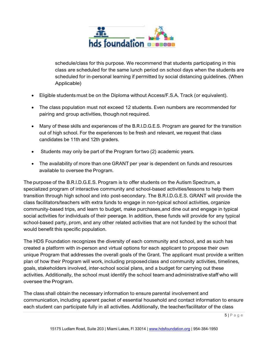

schedule/class for this purpose. We recommend that students participating in this class are scheduled for the same lunch period on school days when the students are scheduled for in-personal learning if permitted by social distancing guidelines. (When Applicable)

- Eligible students must be on the Diploma without Access/F.S.A. Track (or equivalent).
- The class population must not exceed 12 students. Even numbers are recommended for pairing and group activities, though not required.
- Many of these skills and experiences of the B.R.I.D.G.E.S. Program are geared for the transition out of high school. For the experiences to be fresh and relevant, we request that class candidates be 11th and 12th graders.
- Students may only be part of the Program for two (2) academic years.
- The availability of more than one GRANT per year is dependent on funds and resources available to oversee the Program.

The purpose of the B.R.I.D.G.E.S. Program is to offer students on the Autism Spectrum, a specialized program of interactive community and school-based activities/lessons to help them transition through high school and into post-secondary. The B.R.I.D.G.E.S. GRANT will provide the class facilitators/teachers with extra funds to engage in non-typical school activities, organize community-based trips, and learn to budget, make purchases,and dine out and engage in typical social activities for individuals of their peerage. In addition, these funds will provide for any typical school-based party, prom, and any other related activities that are not funded by the school that would benefit this specific population.

The HDS Foundation recognizes the diversity of each community and school, and as such has created a platform with in-person and virtual options for each applicant to propose their own unique Program that addresses the overall goals of the Grant. The applicant must provide a written plan of how their Program will work, including proposedclass and community activities, timelines, goals, stakeholders involved, inter-school social plans, and a budget for carrying out these activities. Additionally, the school must identify the school team and administrative staff who will oversee the Program.

The class shall obtain the necessary information to ensure parental involvement and communication, including a parent packet of essential household and contact information to ensure each student can participate fully in all activities. Additionally, the teacher/facilitator of the class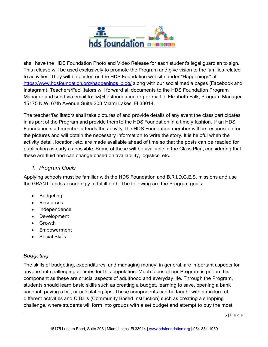

shall have the HDS Foundation Photo and Video Release for each student's legal guardian to sign. This release will be used exclusively to promote the Program and give vision to the families related to activities. They will be posted on the HDS Foundation website under "Happenings" at [https://www.hdsfoundation.org/happenings\\_blog/](https://www.hdsfoundation.org/happenings_blog/) along with our social media pages (Facebook and Instagram). Teachers/Facilitators will forward all documents to the HDS Foundation Program Manager and send via email to: [liz@hdsfoundation.org o](mailto:liz@hdsfoundation.org)r mail to Elizabeth Falk, Program Manager 15175 N.W. 67th Avenue Suite 203 Miami Lakes, Fl 33014.

The teacher/facilitators shall take pictures of and provide details of any event the class participates in as part of the Program and provide them to the HDS Foundation in a timely fashion. If an HDS Foundation staff member attends the activity, the HDS Foundation member will be responsible for the pictures and will obtain the necessary information to write the story. It is helpful when the activity detail, location, etc. are made available ahead of time so that the posts can be readied for publication as early as possible. Some of these will be available in the Class Plan, considering that these are fluid and can change based on availability, logistics, etc.

#### *1. Program Goals*

Applying schools must be familiar with the HDS Foundation and B.R.I.D.G.E.S. missions and use the GRANT funds accordingly to fulfill both. The following are the Program goals:

- Budgeting
- Resources
- Independence
- Development
- Growth
- Empowerment
- Social Skills

# *Budgeting*

The skills of budgeting, expenditures, and managing money, in general, are important aspects for anyone but challenging at times for this population. Much focus of our Program is put on this component as these are crucial aspects of adulthood and everyday life. Through the Program, students should learn basic skills such as creating a budget, learning to save, opening a bank account, paying a bill, or calculating tips. These components can be taught with a mixture of different activities and C.B.l.'s (Community Based Instruction) such as creating a shopping challenge, where students will form into groups with a set budget and attempt to buy the most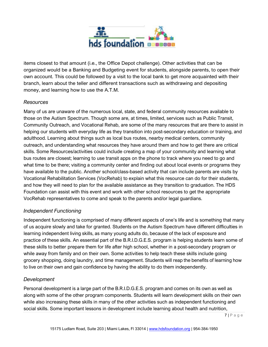

items closest to that amount (i.e., the Office Depot challenge). Other activities that can be organized would be a Banking and Budgeting event for students, alongside parents, to open their own account. This could be followed by a visit to the local bank to get more acquainted with their branch, learn about the teller and different transactions such as withdrawing and depositing money, and learning how to use the A.T.M.

#### *Resources*

Many of us are unaware of the numerous local, state, and federal community resources available to those on the Autism Spectrum. Though some are, at times, limited, services such as Public Transit, Community Outreach, and Vocational Rehab, are some of the many resources that are there to assist in helping our students with everyday life as they transition into post-secondary education or training, and adulthood. Learning about things such as local bus routes, nearby medical centers, community outreach, and understanding what resources they have around them and how to get there are critical skills. Some Resources/activities could include creating a map of your community and learning what bus routes are closest; learning to use transit apps on the phone to track where you need to go and what time to be there; visiting a community center and finding out about local events or programs they have available to the public. Another school/class-based activity that can include parents are visits by Vocational Rehabilitation Services (VocRehab) to explain what this resource can do for their students, and how they will need to plan for the available assistance as they transition to graduation. The HDS Foundation can assist with this event and work with other school resources to get the appropriate VocRehab representatives to come and speak to the parents and/or legal guardians.

# *Independent Functioning*

Independent functioning is comprised of many different aspects of one's life and is something that many of us acquire slowly and take for granted. Students on the Autism Spectrum have different difficulties in learning independent living skills, as many young adults do, because of the lack of exposure and practice of these skills. An essential part of the B.R.I.D.G.E.S. program is helping students learn some of these skills to better prepare them for life after high school, whether in a post-secondary program or while away from family and on their own. Some activities to help teach these skills include going grocery shopping, doing laundry, and time management. Students will reap the benefits of learning how to live on their own and gain confidence by having the ability to do them independently.

# *Development*

Personal development is a large part of the B.R.I.D.G.E.S. program and comes on its own as well as along with some of the other program components. Students will learn development skills on their own while also increasing these skills in many of the other activities such as independent functioning and social skills. Some important lessons in development include learning about health and nutrition,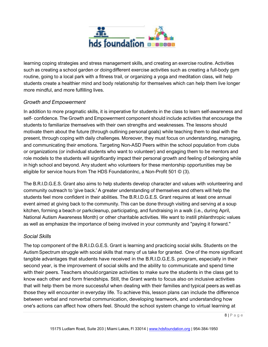

learning coping strategies and stress management skills, and creating an exercise routine. Activities such as creating a school garden or doing different exercise activities such as creating a full-body gym routine, going to a local park with a fitness trail, or organizing a yoga and meditation class, will help students create a healthier mind and body relationship for themselves which can help them live longer more mindful, and more fulfilling lives.

# *Growth and Empowerment*

In addition to more pragmatic skills, it is imperative for students in the class to learn self-awareness and self- confidence. The Growth and Empowerment component should include activities that encourage the students to familiarize themselves with their own strengths and weaknesses. The lessons should motivate them about the future (through outlining personal goals) while teaching them to deal with the present, through coping with daily challenges. Moreover, they must focus on understanding, managing, and communicating their emotions. Targeting Non-ASD Peers within the school population from clubs or organizations (or individual students who want to volunteer) and engaging them to be mentors and role models to the students will significantly impact their personal growth and feeling of belonging while in high school and beyond. Any student who volunteers for these mentorship opportunities may be eligible for service hours from The HDS FoundationInc, a Non-Profit 501 © (3).

The B.R.I.D.G.E.S. Grant also aims to help students develop character and values with volunteering and community outreach to 'give back.' A greater understanding of themselves and others will help the students feel more confident in their abilities. The B.R.I.D.G.E.S. Grant requires at least one annual event aimed at giving back to the community. This can be done through visiting and serving at a soup kitchen, forming a beach or parkcleanup, participating, and fundraising in a walk (i.e., during April, National Autism Awareness Month) or other charitable activities. We want to instill philanthropic values as well as emphasize the importance of being involved in your community and "paying it forward."

# *Social Skills*

The top component of the B.R.I.D.G.E.S. Grant is learning and practicing social skills. Students on the Autism Spectrum struggle with social skills that many of us take for granted. One of the more significant tangible advantages that students have received in the B.R.I.D.G.E.S. program, especially in their second year, is the improvement of social skills and the ability to communicate and spend time with their peers. Teachers should organize activities to make sure the students in the class get to know each other and form friendships. Still, the Grant wants to focus also on inclusive activities that will help them be more successful when dealing with their families and typical peers as well as those they will encounter in everyday life. To achieve this, lesson plans can include the difference between verbal and nonverbal communication, developing teamwork, and understanding how one's actions can affect how others feel. Should the school system change to virtual learning at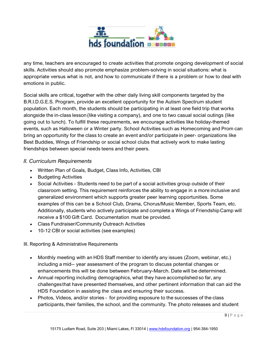

any time, teachers are encouraged to create activities that promote ongoing development of social skills. Activities should also promote emphasize problem-solving in social situations: what is appropriate versus what is not, and how to communicate if there is a problem or how to deal with emotions in public.

Social skills are critical, together with the other daily living skill components targeted by the B.R.I.D.G.E.S. Program, provide an excellent opportunity for the Autism Spectrum student population. Each month, the students should be participating in at least one field trip that works alongside the in-class lesson(like visiting a company), and one to two casual social outings (like going out to lunch). To fulfill these requirements, we encourage activities like holiday-themed events, such as Halloween or a Winter party. School Activities such as Homecoming and Prom can bring an opportunity for the class to create an event and/or participate in peer- organizations like Best Buddies, Wings of Friendship or social school clubs that actively work to make lasting friendships between special needs teens and their peers.

## *II. Curriculum Requirements*

- Written Plan of Goals, Budget, Class Info, Activities, CBI
- Budgeting Activities
- Social Activities Students need to be part of a social activities group outside of their classroom setting. This requirement reinforces the ability to engage in a more inclusive and generalized environment which supports greater peer learning opportunities. Some examples of this can be a School Club, Drama, Chorus/Music Member, Sports Team, etc. Additionally, students who actively participate and complete a Wings of FriendshipCamp will receive a \$100 Gift Card. Documentation must be provided.
- Class Fundraiser/Community Outreach Activities
- 10-12 CBI or social activities (see examples)

#### III. Reporting & Administrative Requirements

- Monthly meeting with an HDS Staff member to identify any issues (Zoom, webinar, etc.) including a mid- year assessment of the program to discuss potential changes or enhancements this will be done between February-March. Date will be determined.
- Annual reporting including demographics, what they have accomplished so far, any challenges that have presented themselves, and other pertinent information that can aid the HDS Foundation in assisting the class and ensuring their success.
- Photos, Videos, and/or stories for providing exposure to the successes of the class participants, their families, the school, and the community. The photo releases and student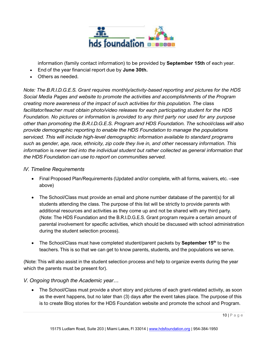

information (family contact information) to be provided by **September 15th** of each year.

- End of the year financial report due by **June 30th.**
- Others as needed.

*Note: The B.R.I.D.G.E.S. Grant requires monthly/activity-based reporting and pictures for the HDS Social Media Pages and website to promote the activities and accomplishments of the Program creating more awareness of the impact of such activities for this population. The* class *facilitator/teacher must obtain photo/video releases for each participating student for the HDS Foundation. No pictures or information* is *provided to any third party nor used for any purpose other than promoting the B.R.I.D.G.E.S. Program and HDS Foundation. The* school/class *will also provide demographic reporting to enable the HDS Foundation to manage the populations serviced. This will include high-level demographic information available to standard programs such* as *gender, age, race, ethnicity, zip code they live in, and other* necessary *information. This information* is *never tied into the individual student but rather collected* as *general information that the HDS Foundation can use to report on communities served.*

## *IV. Timeline Requirements*

- Final Proposed Plan/Requirements (Updated and/or complete, with all forms, waivers, etc. see above)
- The School/Class must provide an email and phone number database of the parent(s) for all students attending the class. The purpose of this list will be strictly to provide parents with additional resources and activities as they come up and not be shared with any third party. (Note: The HDS Foundation and the B.R.I.D.G.E.S. Grant program require a certain amount of parental involvement for specific activities, which should be discussed with school administration during the student selection process).
- The School/Class must have completed student/parent packets by **September 15th** to the teachers. This is so that we can get to know parents, students, and the populations we serve.

(Note: This will also assist in the student selection process and help to organize events during the year which the parents must be present for).

# *V. Ongoing through the Academic year…*

• The School/Class must provide a short story and pictures of each grant-related activity, as soon as the event happens, but no later than (3) days after the event takes place. The purpose of this is to create Blog stories for the HDS Foundation website and promote the school and Program.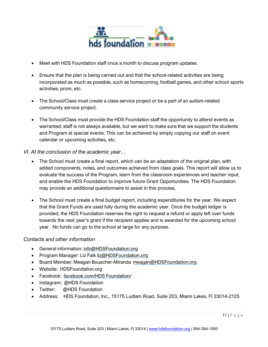

- Meet with HDS Foundation staff once a month to discuss program updates.
- Ensure that the plan is being carried out and that the school-related activities are being incorporated as much as possible, such as homecoming, football games, and other school sports activities, prom, etc.
- The School/Class must create a class service project or be a part of an autism-related community service project.
- The School/Class must provide the HDS Foundation staff the opportunity to attend events as warranted; staff is not always available, but we want to make sure that we support the students and Program at special events. This can be achieved by simply copying our staff on event calendar or upcoming activities, etc.
- *VI. At the conclusion of the academic year…*
	- The School must create a final report, which can be an adaptation of the original plan, with added components, notes, and outcomes achieved from class goals. This report will allow us to evaluate the success of the Program, learn from the classroom experiences and teacher input, and enable the HDS Foundation to improve future Grant Opportunities. The HDS Foundation may provide an additional questionnaire to assist in this process.
	- The School must create a final budget report, including expenditures for the year. We expect that the Grant Funds are used fully during the academic year. Once the budget ledger is provided, the HDS Foundation reserves the right to request a refund or apply left over funds towards the next year's grant if the recipient applies and is awarded for the upcoming school year. No funds can go to the school at large for any purpose.

#### *Contacts and other information*

- General information: [info@HDSFoundation.org](mailto:info@HDSFoundation.org)
- Program Manager: Liz Falk [liz@HDSFoundation.org](mailto:liz@HDSFoundation.org)
- Board Member: Meagan Bouscher-Miranda [me](mailto:meagan@HDSFoundation.org)[agan@HDSFoundation.org](mailto:agan@HDSFoundation.org)
- Website: HDSFoundation.org
- Facebook: facebook.com/HDS Foundation/
- Instagram: @HDS Foundation
- Twitter: @HDS Foundation
- Address: HDS Foundation, Inc., 15175 Ludlam Road, Suite 203, Miami Lakes, Fl 33014-2125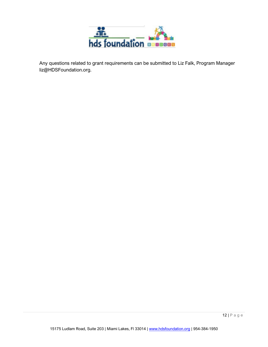

Any questions related to grant requirements can be submitted to Liz Falk, Program Manager [liz@HDSFoundation.org.](mailto:liz@HDSFoundation.org)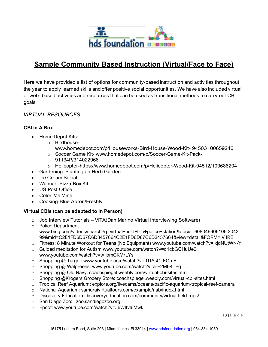

# **Sample Community Based Instruction (Virtual/Face to Face)**

Here we have provided a list of options for community-based instruction and activities throughout the year to apply learned skills and offer positive social opportunities. We have also included virtual or web- based activities and resources that can be used as transitional methods to carry out CBI goals.

## *VIRTUAL RESOURCES*

#### **CBI in A Box**

- Home Depot Kits:
	- o Birdhouse
		- [www.homedepot.com/p/Houseworks-Bird-House-Wood-Kit- 94503/100659246](http://www.homedepot.com/p/Houseworks-Bird-House-Wood-Kit-%2094503/100659246)
	- o Soccer Game Kit- [www.homedepot.com/p/Soccer-Game-Kit-Pack-](http://www.homedepot.com/p/Soccer-Game-Kit-Pack-91134P/314022968)[91134P/314022968](http://www.homedepot.com/p/Soccer-Game-Kit-Pack-91134P/314022968)
	- o Helicopter-https:/[/www.homedepot.com/p/Helicopter-Wood-Kit-94512/100686204](http://www.homedepot.com/p/Helicopter-Wood-Kit-94512/100686204)
- Gardening: Planting an Herb Garden
- Ice Cream Social
- Walmart-Pizza Box Kit
- US Post Office
- Color Me Mine
- Cooking-Blue Apron/Freshly

#### **Virtual CBls (can be adapted to In Person)**

- $\circ$  Job Interview Tutorials ViTA(Dan Marino Virtual Interviewing Software)
- o Police Department www.bing.com/videos/search?q=virtual+field+trip+police+station&docid=608049906106 3042 99&mid=C2E1FD6D67C6D3457664C2E1FD6D67C6D3457664&view=detail&FORM= V IRE
- o Fitness: 8 Minute Workout for Teens (No Equipment) www.youtube.com/watch?v=ixjdNUtWN-Y
- o Guided meditation for Autism [www.youtube.com/watch?v=d1cbGCHuUe0](http://www.youtube.com/watch?v=d1cbGCHuUe0) www.youtube.com/watch?v=w\_bmCKMrLYs
- o Shopping @ Target: www.youtube.com/watch?v=0TtAsO\_FQmE
- o Shopping @ Walgreens: www.youtube.com/watch?v=a-E2Mt-4TEg
- o Shopping @ Old Navy: coachspiegel.weebly.com/virtual-cbi-sites.html
- o Shopping @Krogers Grocery Store: coachspiegel.weebly.com/virtual-cbi-sites.html
- o Tropical Reef Aquarium: explore.org/livecams/oceans/pacific-aquarium-tropical-reef-camera
- o National Aquarium: samuraivirtualtours.com/example/nab/index.html
- o Discovery Education: discoveryeducation.com/community/virtual-field-trips/
- o San Diego Zoo: zoo.sandiegozoo.org
- o Epcot: www.youtube.com/watch?v=J6WItvl6Mwk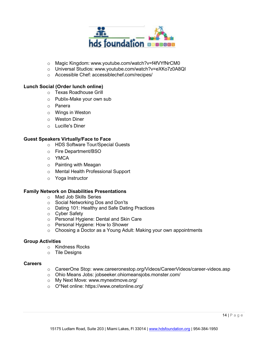

- o Magic Kingdom: www.youtube.com/watch?v=f4fVYfNrCM0
- o Universal Studios: www.youtube.com/watch?v=eXKo7z0A8QI
- o Accessible Chef: accessiblechef.com/recipes/

#### **Lunch Social (Order lunch online)**

- o Texas Roadhouse Grill
- o Publix-Make your own sub
- o Panera
- o Wings in Weston
- o Weston Diner
- o Lucille's Diner

#### **Guest Speakers Virtually/Face to Face**

- o HDS Software Tour/Special Guests
- o Fire Department/BSO
- o YMCA
- o Painting with Meagan
- o Mental Health Professional Support
- o Yoga Instructor

#### **Family Network on Disabilities Presentations**

- o Mad Job Skills Series
- o Social Networking Dos and Don'ts
- o Dating 101: Healthy and Safe Dating Practices
- o Cyber Safety
- o Personal Hygiene: Dental and Skin Care
- o Personal Hygiene: How to Shower
- o Choosing a Doctor as a Young Adult: Making your own appointments

#### **Group Activities**

- o Kindness Rocks
- o Tile Designs

#### **Careers**

- o CareerOne Stop: www.careeronestop.org/Videos/CareerVideos/career-videos.asp
- o Ohio Means Jobs: jobseeker.ohiomeansjobs.monster.com/
- o My Next Move: [www.mynextmove.org/](http://www.mynextmove.org/)
- o O\*Net online: https://[www.onetonline.org/](http://www.onetonline.org/)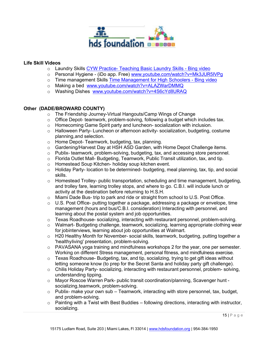

#### **Life Skill Videos**

- o Laundry Skills [CYW Practice- Teaching Basic Laundry Skills Bing video](https://www.bing.com/videos/search?q=Clothes+Washing+Basics&&view=detail&mid=1BBB16F09AE784D9F9091BBB16F09AE784D9F909&&FORM=VRDGAR&ru=%2Fvideos%2Fsearch%3Fq%3DClothes%2BWashing%2BBasics%26FORM%3DVDMHRS)
- o Personal Hygiene (iDo app. Free) [www.youtube.com/watch?v=Mk3JUR5IVPg](http://www.youtube.com/watch?v=Mk3JUR5IVPg)
- o Time management Skills [Time Management for High Schoolers Bing video](https://www.bing.com/videos/search?q=Time+Management+for+High+Schoolers&&view=detail%20&mid=58C892F741A32699F04358C892F741A32699F043&&FORM=VRDGAR&ru=%2Fvideos%2Fsear%20ch%3Fq%3DTime%2BManagement%2Bfor%2BHigh%2BSchoolers%26FORM%3DVDMHRS)
- o Making a bed [www.youtube.com/watch?v=ALAZWarDMMQ](http://www.youtube.com/watch?v=ALAZWarDMMQ)
- o Washing Dishes [www.youtube.com/watch?v=4S6cYd8URAQ](http://www.youtube.com/watch?v=4S6cYd8URAQ)

#### **Other (DADE/BROWARD COUNTY)**

- o The Friendship Journey-Virtual Hangouts/Camp Wings of Change
- $\circ$  Office Depot- teamwork, problem-solving, following a budget which includes tax.
- o Homecoming Game Spirit party and luncheon- socialization with inclusion.
- $\circ$  Halloween Party- Luncheon or afternoon activity- socialization, budgeting, costume planning,and selection.
- o Home Depot- Teamwork, budgeting, tax, planning.
- o Gardening/Harvest Day at HSH ASD Garden, with Home Depot Challenge items.
- $\circ$  Publix- teamwork, problem-solving, budgeting, tax, and accessing store personnel.
- o Florida Outlet Mall- Budgeting, Teamwork, Public Transit utilization, tax, and tip.
- o Homestead Soup Kitchen- holiday soup kitchen event.
- o Holiday Party- location to be determined- budgeting, meal planning, tax, tip, and social skills.
- o Homestead Trolley- public transportation, scheduling and time management, budgeting, and trolley fare, learning trolley stops, and where to go. C.B.I. will include lunch or activity at the destination before returning to H.S.H.
- $\circ$  Miami Dade Bus- trip to park and ride or straight from school to U.S. Post Office.
- $\circ$  U.S. Post Office- putting together a package, addressing a package or envelope, time management (hours and bus/C.B.I. consideration) Interacting with personnel, and learning about the postal system and job opportunities.
- o Texas Roadhouse- socializing, interacting with restaurant personnel, problem-solving.
- $\circ$  Walmart- Budgeting challenge, teamwork, socializing, learning appropriate clothing wear for jobinterviews, learning about job opportunities at Walmart.
- o H20 Healthy Month for November- social skills, teamwork, budgeting, putting together a 'healthyliving' presentation, problem-solving.
- $\circ$  PAVASANA yoga training and mindfulness workshops 2 for the year, one per semester. Working on different Stress management, personal fitness, and mindfulness exercise.
- o Texas Roadhouse- Budgeting, tax, and tip, socializing, trying to get gift ideas without letting someone know (to prep for the Secret Santa and holiday party gift challenge).
- $\circ$  Chilis Holiday Party- socializing, interacting with restaurant personnel, problem- solving, understanding tipping.
- o Mayor Roscoe Warren Park- public transit coordination/planning, Scavenger hunt socializing, teamwork, problem-solving.
- $\circ$  Publix- make your own sub Teamwork, interacting with store personnel, tax, budget, and problem-solving.
- $\circ$  Painting with a Twist with Best Buddies following directions, interacting with instructor, socializing.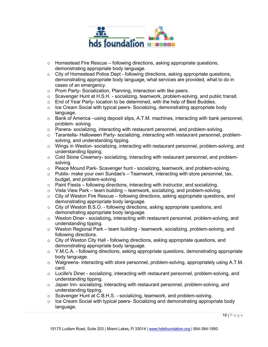

- $\circ$  Homestead Fire Rescue following directions, asking appropriate questions, demonstrating appropriate body language.
- $\circ$  City of Homestead Police Dept following directions, asking appropriate questions, demonstrating appropriate body language, what services are provided, what to do in cases of an emergency.
- o Prom Party- Socialization, Planning, Interaction with like peers.
- $\circ$  Scavenger Hunt at H.S.H. socializing, teamwork, problem-solving, and public transit.
- $\circ$  End of Year Party- location to be determined, with the help of Best Buddies.
- $\circ$  Ice Cream Social with typical peers- Socializing, demonstrating appropriate body language.
- $\circ$  Bank of America –using deposit slips, A.T.M. machines, interacting with bank personnel, problem- solving.
- $\circ$  Panera- socializing, interacting with restaurant personnel, and problem-solving.
- o Tarantella- Halloween Party- socializing, interacting with restaurant personnel, problemsolving, and understanding tipping.
- $\circ$  Wings in Weston- socializing, interacting with restaurant personnel, problem-solving, and understanding tipping.
- $\circ$  Cold Stone Creamery- socializing, interacting with restaurant personnel, and problemsolving.
- $\circ$  Peace Mound Park- Scavenger hunt socializing, teamwork, and problem-solving.
- $\circ$  Publix- make your own Sundae's Teamwork, interacting with store personnel, tax, budget, and problem-solving.
- $\circ$  Paint Fiesta following directions, interacting with instructor, and socializing.
- $\circ$  Vista View Park team building teamwork, socializing, and problem-solving.
- $\circ$  City of Weston Fire Rescue following directions, asking appropriate questions, and demonstrating appropriate body language.
- $\circ$  City of Weston B.S.O. following directions, asking appropriate questions, and demonstrating appropriate body language.
- $\circ$  Weston Diner socializing, interacting with restaurant personnel, problem-solving, and understanding tipping.
- o Weston Regional Park team building teamwork, socializing, problem-solving, and following directions.
- $\circ$  City of Weston City Hall following directions, asking appropriate questions, and demonstrating appropriate body language.
- $\circ$  Y.M.C.A. following directions, asking appropriate questions, demonstrating appropriate body language.
- $\circ$  Walgreens- interacting with store personnel, problem-solving, appropriately using A.T.M. card.
- $\circ$  Lucille's Diner socializing, interacting with restaurant personnel, problem-solving, and understanding tipping.
- $\circ$  Japan Inn- socializing, interacting with restaurant personnel, problem-solving, and understanding tipping.
- $\circ$  Scavenger Hunt at C.B.H.S. socializing, teamwork, and problem-solving.
- o Ice Cream Social with typical peers- Socializing and demonstrating appropriate body language.